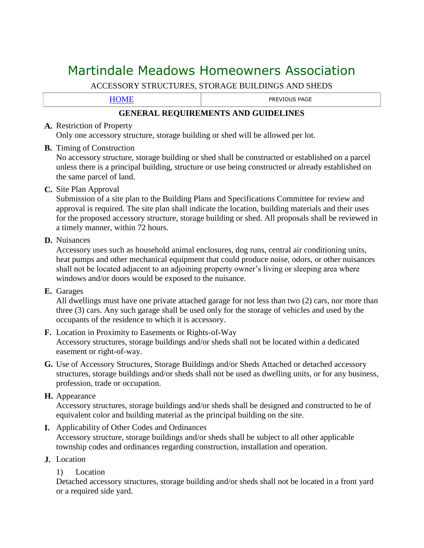## Martindale Meadows Homeowners Association

ACCESSORY STRUCTURES, STORAGE BUILDINGS AND SHEDS

[HOME](http://mmha.mylyon.com/index.htm) PREVIOUS PAGE

## **GENERAL REQUIREMENTS AND GUIDELINES**

## **A.** Restriction of Property

Only one accessory structure, storage building or shed will be allowed per lot.

**B.** Timing of Construction

No accessory structure, storage building or shed shall be constructed or established on a parcel unless there is a principal building, structure or use being constructed or already established on the same parcel of land.

**C.** Site Plan Approval

Submission of a site plan to the Building Plans and Specifications Committee for review and approval is required. The site plan shall indicate the location, building materials and their uses for the proposed accessory structure, storage building or shed. All proposals shall be reviewed in a timely manner, within 72 hours.

**D.** Nuisances

Accessory uses such as household animal enclosures, dog runs, central air conditioning units, heat pumps and other mechanical equipment that could produce noise, odors, or other nuisances shall not be located adjacent to an adjoining property owner's living or sleeping area where windows and/or doors would be exposed to the nuisance.

**E.** Garages

All dwellings must have one private attached garage for not less than two (2) cars, nor more than three (3) cars. Any such garage shall be used only for the storage of vehicles and used by the occupants of the residence to which it is accessory.

- **F.** Location in Proximity to Easements or Rights-of-Way Accessory structures, storage buildings and/or sheds shall not be located within a dedicated easement or right-of-way.
- **G.** Use of Accessory Structures, Storage Buildings and/or Sheds Attached or detached accessory structures, storage buildings and/or sheds shall not be used as dwelling units, or for any business, profession, trade or occupation.
- **H.** Appearance

Accessory structures, storage buildings and/or sheds shall be designed and constructed to be of equivalent color and building material as the principal building on the site.

- **I.** Applicability of Other Codes and Ordinances Accessory structure, storage buildings and/or sheds shall be subject to all other applicable township codes and ordinances regarding construction, installation and operation.
- **J.** Location
	- 1) Location

Detached accessory structures, storage building and/or sheds shall not be located in a front yard or a required side yard.